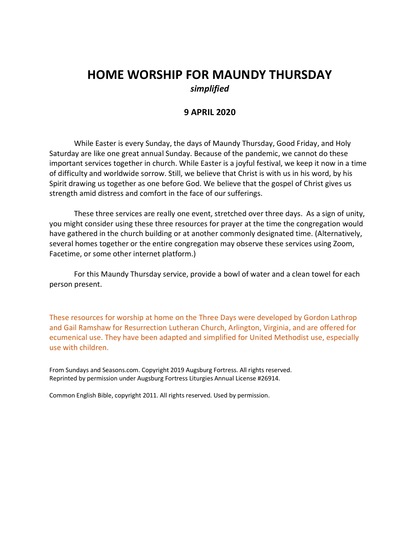# **HOME WORSHIP FOR MAUNDY THURSDAY** *simplified*

# **9 APRIL 2020**

While Easter is every Sunday, the days of Maundy Thursday, Good Friday, and Holy Saturday are like one great annual Sunday. Because of the pandemic, we cannot do these important services together in church. While Easter is a joyful festival, we keep it now in a time of difficulty and worldwide sorrow. Still, we believe that Christ is with us in his word, by his Spirit drawing us together as one before God. We believe that the gospel of Christ gives us strength amid distress and comfort in the face of our sufferings.

These three services are really one event, stretched over three days. As a sign of unity, you might consider using these three resources for prayer at the time the congregation would have gathered in the church building or at another commonly designated time. (Alternatively, several homes together or the entire congregation may observe these services using Zoom, Facetime, or some other internet platform.)

For this Maundy Thursday service, provide a bowl of water and a clean towel for each person present.

These resources for worship at home on the Three Days were developed by Gordon Lathrop and Gail Ramshaw for Resurrection Lutheran Church, Arlington, Virginia, and are offered for ecumenical use. They have been adapted and simplified for United Methodist use, especially use with children.

From Sundays and Seasons.com. Copyright 2019 Augsburg Fortress. All rights reserved. Reprinted by permission under Augsburg Fortress Liturgies Annual License #26914.

Common English Bible, copyright 2011. All rights reserved. Used by permission.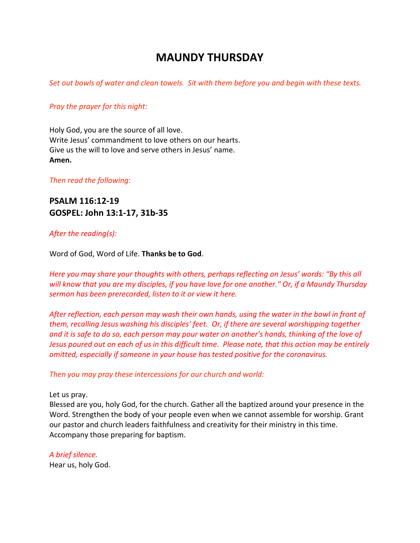# **MAUNDY THURSDAY**

*Set out bowls of water and clean towels. Sit with them before you and begin with these texts.* 

### *Pray the prayer for this night:*

Holy God, you are the source of all love. Write Jesus' commandment to love others on our hearts. Give us the will to love and serve others in Jesus' name. **Amen.**

*Then read the following*:

# **PSALM 116:12-19 GOSPEL: John 13:1-17, 31b-35**

#### *After the reading(s):*

Word of God, Word of Life. **Thanks be to God**.

*Here you may share your thoughts with others, perhaps reflecting on Jesus' words: "By this all* will know that you are my disciples, if you have love for one another." Or, if a Maundy Thursday *sermon has been prerecorded, listen to it or view it here.*

*After reflection, each person may wash their own hands, using the water in the bowl in front of them, recalling Jesus washing his disciples' feet. Or, if there are several worshipping together* and it is safe to do so, each person may pour water on another's hands, thinking of the love of Jesus poured out on each of us in this difficult time. Please note, that this action may be entirely *omitted, especially if someone in your house has tested positive for the coronavirus.*

*Then you may pray these intercessions for our church and world:*

#### Let us pray.

Blessed are you, holy God, for the church. Gather all the baptized around your presence in the Word. Strengthen the body of your people even when we cannot assemble for worship. Grant our pastor and church leaders faithfulness and creativity for their ministry in this time. Accompany those preparing for baptism.

#### *A brief silence.*

Hear us, holy God.